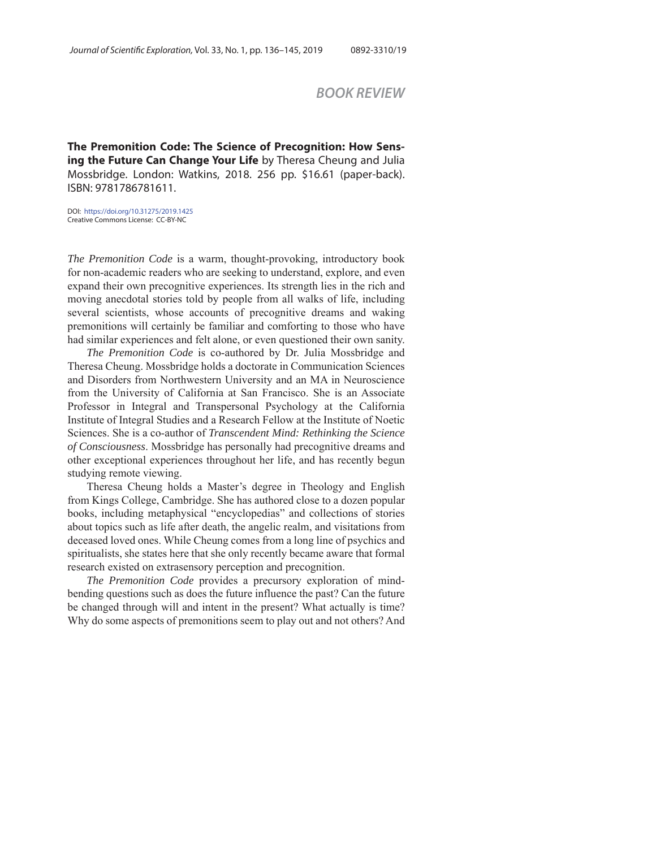# *BOOK REVIEW*

**The Premonition Code: The Science of Precognition: How Sensing the Future Can Change Your Life** by Theresa Cheung and Julia Mossbridge. London: Watkins, 2018. 256 pp. \$16.61 (paper-back). ISBN: 9781786781611.

DOI: https://doi.org/10.31275/2019.1425 Creative Commons License: CC-BY-NC

*The Premonition Code* is a warm, thought-provoking, introductory book for non-academic readers who are seeking to understand, explore, and even expand their own precognitive experiences. Its strength lies in the rich and moving anecdotal stories told by people from all walks of life, including several scientists, whose accounts of precognitive dreams and waking premonitions will certainly be familiar and comforting to those who have had similar experiences and felt alone, or even questioned their own sanity.

*The Premonition Code* is co-authored by Dr. Julia Mossbridge and Theresa Cheung. Mossbridge holds a doctorate in Communication Sciences and Disorders from Northwestern University and an MA in Neuroscience from the University of California at San Francisco. She is an Associate Professor in Integral and Transpersonal Psychology at the California Institute of Integral Studies and a Research Fellow at the Institute of Noetic Sciences. She is a co-author of *Transcendent Mind: Rethinking the Science of Consciousness*. Mossbridge has personally had precognitive dreams and other exceptional experiences throughout her life, and has recently begun studying remote viewing.

Theresa Cheung holds a Master's degree in Theology and English from Kings College, Cambridge. She has authored close to a dozen popular books, including metaphysical "encyclopedias" and collections of stories about topics such as life after death, the angelic realm, and visitations from deceased loved ones. While Cheung comes from a long line of psychics and spiritualists, she states here that she only recently became aware that formal research existed on extrasensory perception and precognition.

*The Premonition Code* provides a precursory exploration of mindbending questions such as does the future influence the past? Can the future be changed through will and intent in the present? What actually is time? Why do some aspects of premonitions seem to play out and not others? And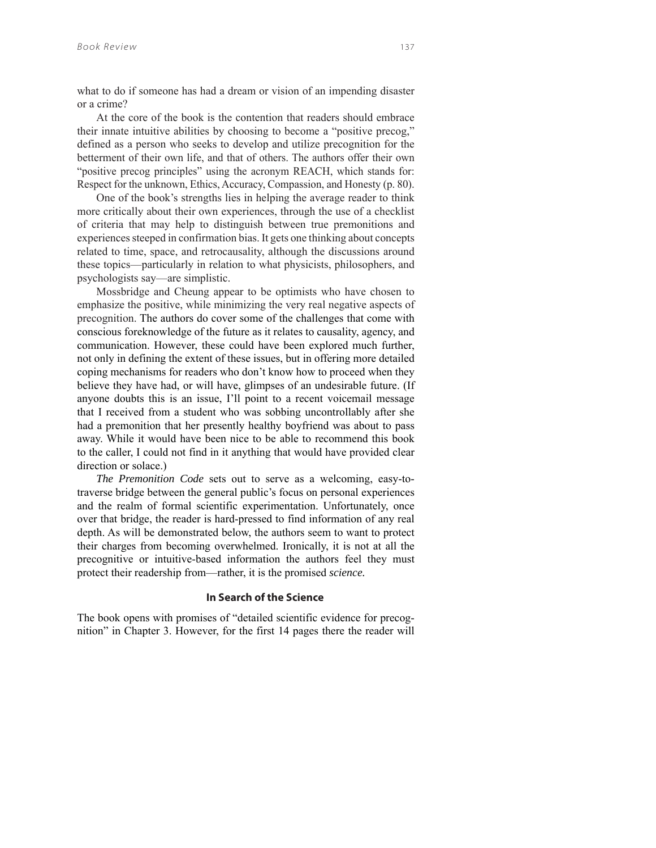what to do if someone has had a dream or vision of an impending disaster or a crime?

At the core of the book is the contention that readers should embrace their innate intuitive abilities by choosing to become a "positive precog," defined as a person who seeks to develop and utilize precognition for the betterment of their own life, and that of others. The authors offer their own "positive precog principles" using the acronym REACH, which stands for: Respect for the unknown, Ethics, Accuracy, Compassion, and Honesty (p. 80).

One of the book's strengths lies in helping the average reader to think more critically about their own experiences, through the use of a checklist of criteria that may help to distinguish between true premonitions and experiences steeped in confirmation bias. It gets one thinking about concepts related to time, space, and retrocausality, although the discussions around these topics—particularly in relation to what physicists, philosophers, and psychologists say—are simplistic.

Mossbridge and Cheung appear to be optimists who have chosen to emphasize the positive, while minimizing the very real negative aspects of precognition. The authors do cover some of the challenges that come with conscious foreknowledge of the future as it relates to causality, agency, and communication. However, these could have been explored much further, not only in defining the extent of these issues, but in offering more detailed coping mechanisms for readers who don't know how to proceed when they believe they have had, or will have, glimpses of an undesirable future. (If anyone doubts this is an issue, I'll point to a recent voicemail message that I received from a student who was sobbing uncontrollably after she had a premonition that her presently healthy boyfriend was about to pass away. While it would have been nice to be able to recommend this book to the caller, I could not find in it anything that would have provided clear direction or solace.)

*The Premonition Code* sets out to serve as a welcoming, easy-totraverse bridge between the general public's focus on personal experiences and the realm of formal scientific experimentation. Unfortunately, once over that bridge, the reader is hard-pressed to find information of any real depth. As will be demonstrated below, the authors seem to want to protect their charges from becoming overwhelmed. Ironically, it is not at all the precognitive or intuitive-based information the authors feel they must protect their readership from—rather, it is the promised *science.*

### **In Search of the Science**

The book opens with promises of "detailed scientific evidence for precognition" in Chapter 3. However, for the first 14 pages there the reader will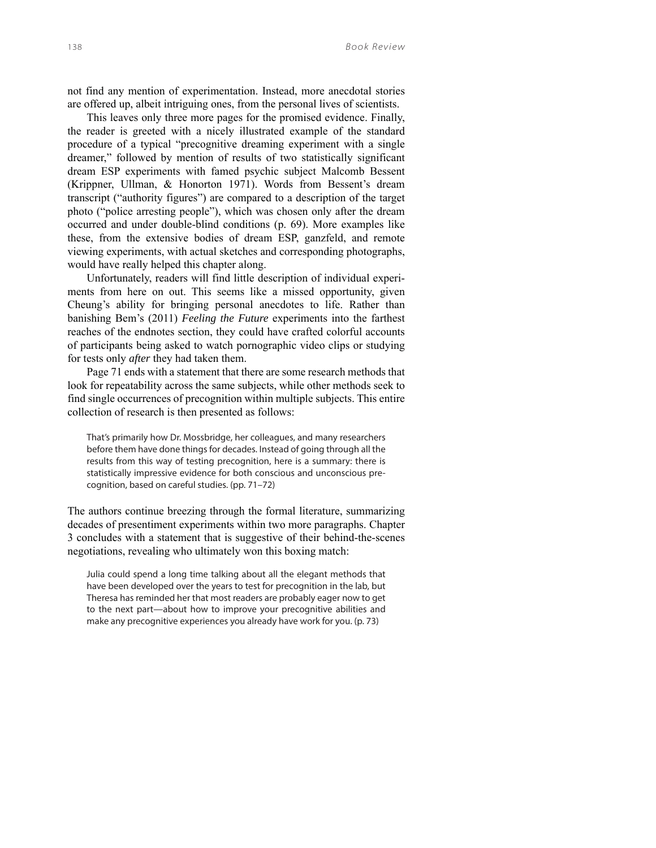not find any mention of experimentation. Instead, more anecdotal stories are offered up, albeit intriguing ones, from the personal lives of scientists.

This leaves only three more pages for the promised evidence. Finally, the reader is greeted with a nicely illustrated example of the standard procedure of a typical "precognitive dreaming experiment with a single dreamer," followed by mention of results of two statistically significant dream ESP experiments with famed psychic subject Malcomb Bessent (Krippner, Ullman, & Honorton 1971). Words from Bessent's dream transcript ("authority figures") are compared to a description of the target photo ("police arresting people"), which was chosen only after the dream occurred and under double-blind conditions (p. 69). More examples like these, from the extensive bodies of dream ESP, ganzfeld, and remote viewing experiments, with actual sketches and corresponding photographs, would have really helped this chapter along.

Unfortunately, readers will find little description of individual experiments from here on out. This seems like a missed opportunity, given Cheung's ability for bringing personal anecdotes to life. Rather than banishing Bem's (2011) *Feeling the Future* experiments into the farthest reaches of the endnotes section, they could have crafted colorful accounts of participants being asked to watch pornographic video clips or studying for tests only *after* they had taken them.

Page 71 ends with a statement that there are some research methods that look for repeatability across the same subjects, while other methods seek to find single occurrences of precognition within multiple subjects. This entire collection of research is then presented as follows:

That's primarily how Dr. Mossbridge, her colleagues, and many researchers before them have done things for decades. Instead of going through all the results from this way of testing precognition, here is a summary: there is statistically impressive evidence for both conscious and unconscious precognition, based on careful studies. (pp. 71–72)

The authors continue breezing through the formal literature, summarizing decades of presentiment experiments within two more paragraphs. Chapter 3 concludes with a statement that is suggestive of their behind-the-scenes negotiations, revealing who ultimately won this boxing match:

Julia could spend a long time talking about all the elegant methods that have been developed over the years to test for precognition in the lab, but Theresa has reminded her that most readers are probably eager now to get to the next part—about how to improve your precognitive abilities and make any precognitive experiences you already have work for you. (p. 73)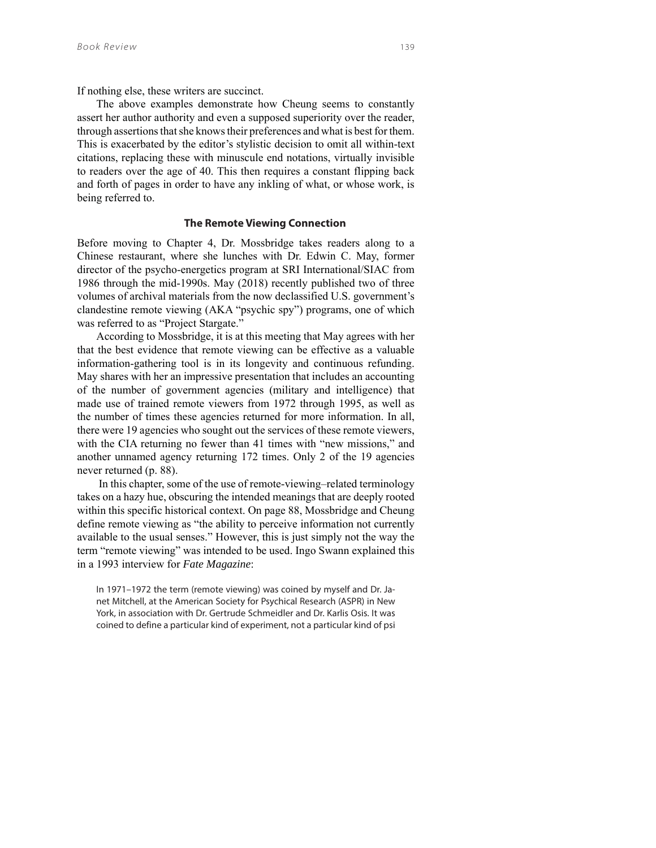If nothing else, these writers are succinct.

The above examples demonstrate how Cheung seems to constantly assert her author authority and even a supposed superiority over the reader, through assertions that she knows their preferences and what is best for them. This is exacerbated by the editor's stylistic decision to omit all within-text citations, replacing these with minuscule end notations, virtually invisible to readers over the age of 40. This then requires a constant flipping back and forth of pages in order to have any inkling of what, or whose work, is being referred to.

### **The Remote Viewing Connection**

Before moving to Chapter 4, Dr. Mossbridge takes readers along to a Chinese restaurant, where she lunches with Dr. Edwin C. May, former director of the psycho-energetics program at SRI International/SIAC from 1986 through the mid-1990s. May (2018) recently published two of three volumes of archival materials from the now declassified U.S. government's clandestine remote viewing (AKA "psychic spy") programs, one of which was referred to as "Project Stargate."

According to Mossbridge, it is at this meeting that May agrees with her that the best evidence that remote viewing can be effective as a valuable information-gathering tool is in its longevity and continuous refunding. May shares with her an impressive presentation that includes an accounting of the number of government agencies (military and intelligence) that made use of trained remote viewers from 1972 through 1995, as well as the number of times these agencies returned for more information. In all, there were 19 agencies who sought out the services of these remote viewers, with the CIA returning no fewer than 41 times with "new missions," and another unnamed agency returning 172 times. Only 2 of the 19 agencies never returned (p. 88).

 In this chapter, some of the use of remote-viewing–related terminology takes on a hazy hue, obscuring the intended meanings that are deeply rooted within this specific historical context. On page 88, Mossbridge and Cheung define remote viewing as "the ability to perceive information not currently available to the usual senses." However, this is just simply not the way the term "remote viewing" was intended to be used. Ingo Swann explained this in a 1993 interview for *Fate Magazine*:

In 1971–1972 the term (remote viewing) was coined by myself and Dr. Janet Mitchell, at the American Society for Psychical Research (ASPR) in New York, in association with Dr. Gertrude Schmeidler and Dr. Karlis Osis. It was coined to define a particular kind of experiment, not a particular kind of psi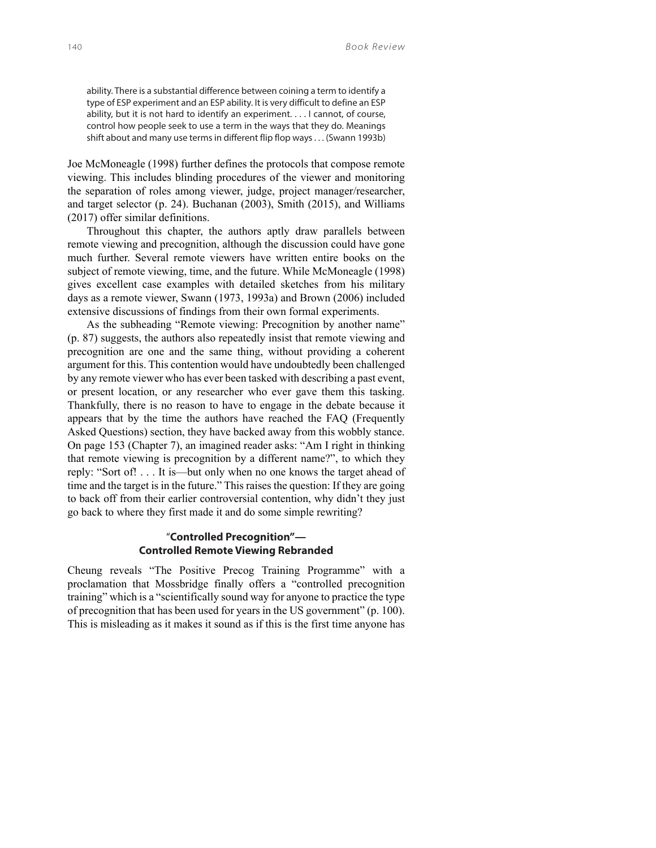ability. There is a substantial difference between coining a term to identify a type of ESP experiment and an ESP ability. It is very difficult to define an ESP ability, but it is not hard to identify an experiment. . . . I cannot, of course, control how people seek to use a term in the ways that they do. Meanings shift about and many use terms in different flip flop ways . . . (Swann 1993b)

Joe McMoneagle (1998) further defines the protocols that compose remote viewing. This includes blinding procedures of the viewer and monitoring the separation of roles among viewer, judge, project manager/researcher, and target selector (p. 24). Buchanan (2003), Smith (2015), and Williams (2017) offer similar definitions.

Throughout this chapter, the authors aptly draw parallels between remote viewing and precognition, although the discussion could have gone much further. Several remote viewers have written entire books on the subject of remote viewing, time, and the future. While McMoneagle (1998) gives excellent case examples with detailed sketches from his military days as a remote viewer, Swann (1973, 1993a) and Brown (2006) included extensive discussions of findings from their own formal experiments.

As the subheading "Remote viewing: Precognition by another name" (p. 87) suggests, the authors also repeatedly insist that remote viewing and precognition are one and the same thing, without providing a coherent argument for this. This contention would have undoubtedly been challenged by any remote viewer who has ever been tasked with describing a past event, or present location, or any researcher who ever gave them this tasking. Thankfully, there is no reason to have to engage in the debate because it appears that by the time the authors have reached the FAQ (Frequently Asked Questions) section, they have backed away from this wobbly stance. On page 153 (Chapter 7), an imagined reader asks: "Am I right in thinking that remote viewing is precognition by a different name?", to which they reply: "Sort of! . . . It is—but only when no one knows the target ahead of time and the target is in the future." This raises the question: If they are going to back off from their earlier controversial contention, why didn't they just go back to where they first made it and do some simple rewriting?

## "**Controlled Precognition"— Controlled Remote Viewing Rebranded**

Cheung reveals "The Positive Precog Training Programme" with a proclamation that Mossbridge finally offers a "controlled precognition training" which is a "scientifically sound way for anyone to practice the type of precognition that has been used for years in the US government" (p. 100). This is misleading as it makes it sound as if this is the first time anyone has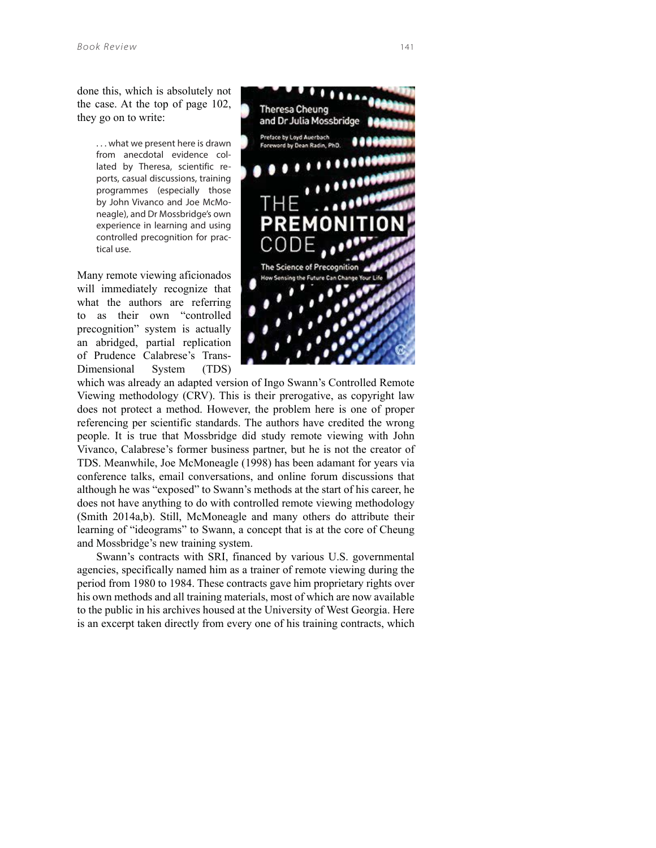done this, which is absolutely not the case. At the top of page 102, they go on to write:

> . . . what we present here is drawn from anecdotal evidence collated by Theresa, scientific reports, casual discussions, training programmes (especially those by John Vivanco and Joe McMoneagle), and Dr Mossbridge's own experience in learning and using controlled precognition for practical use.

Many remote viewing aficionados will immediately recognize that what the authors are referring to as their own "controlled precognition" system is actually an abridged, partial replication of Prudence Calabrese's Trans-Dimensional System (TDS)



which was already an adapted version of Ingo Swann's Controlled Remote Viewing methodology (CRV). This is their prerogative, as copyright law does not protect a method. However, the problem here is one of proper referencing per scientific standards. The authors have credited the wrong people. It is true that Mossbridge did study remote viewing with John Vivanco, Calabrese's former business partner, but he is not the creator of TDS. Meanwhile, Joe McMoneagle (1998) has been adamant for years via conference talks, email conversations, and online forum discussions that although he was "exposed" to Swann's methods at the start of his career, he does not have anything to do with controlled remote viewing methodology (Smith 2014a,b). Still, McMoneagle and many others do attribute their learning of "ideograms" to Swann, a concept that is at the core of Cheung and Mossbridge's new training system.

Swann's contracts with SRI, financed by various U.S. governmental agencies, specifically named him as a trainer of remote viewing during the period from 1980 to 1984. These contracts gave him proprietary rights over his own methods and all training materials, most of which are now available to the public in his archives housed at the University of West Georgia. Here is an excerpt taken directly from every one of his training contracts, which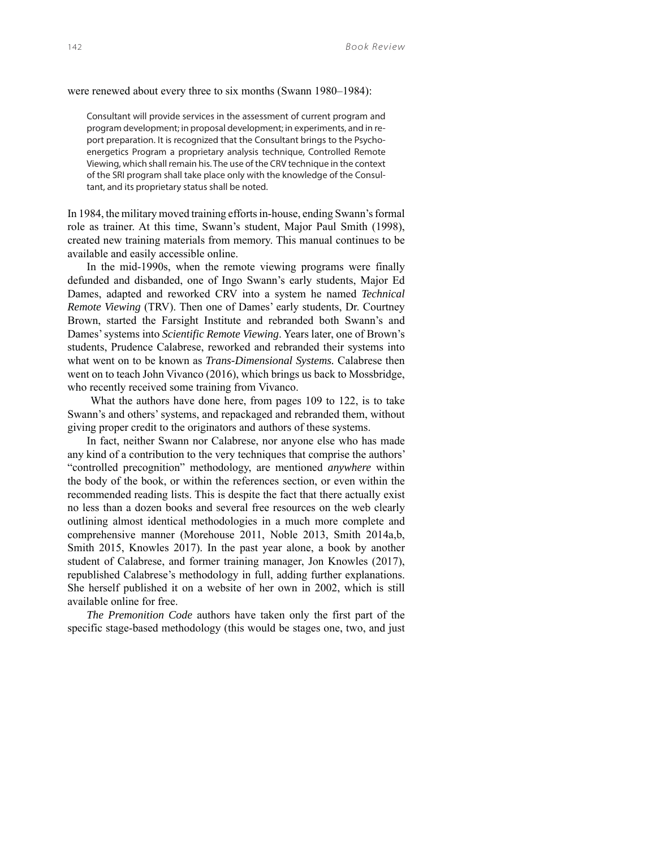were renewed about every three to six months (Swann 1980–1984):

Consultant will provide services in the assessment of current program and program development; in proposal development; in experiments, and in report preparation. It is recognized that the Consultant brings to the Psychoenergetics Program a proprietary analysis technique, Controlled Remote Viewing, which shall remain his. The use of the CRV technique in the context of the SRI program shall take place only with the knowledge of the Consultant, and its proprietary status shall be noted.

In 1984, the military moved training efforts in-house, ending Swann's formal role as trainer. At this time, Swann's student, Major Paul Smith (1998), created new training materials from memory. This manual continues to be available and easily accessible online.

In the mid-1990s, when the remote viewing programs were finally defunded and disbanded, one of Ingo Swann's early students, Major Ed Dames, adapted and reworked CRV into a system he named *Technical Remote Viewing* (TRV). Then one of Dames' early students, Dr. Courtney Brown, started the Farsight Institute and rebranded both Swann's and Dames' systems into *Scientific Remote Viewing*. Years later, one of Brown's students, Prudence Calabrese, reworked and rebranded their systems into what went on to be known as *Trans-Dimensional Systems.* Calabrese then went on to teach John Vivanco (2016), which brings us back to Mossbridge, who recently received some training from Vivanco.

What the authors have done here, from pages 109 to 122, is to take Swann's and others' systems, and repackaged and rebranded them, without giving proper credit to the originators and authors of these systems.

In fact, neither Swann nor Calabrese, nor anyone else who has made any kind of a contribution to the very techniques that comprise the authors' "controlled precognition" methodology, are mentioned *anywhere* within the body of the book, or within the references section, or even within the recommended reading lists. This is despite the fact that there actually exist no less than a dozen books and several free resources on the web clearly outlining almost identical methodologies in a much more complete and comprehensive manner (Morehouse 2011, Noble 2013, Smith 2014a,b, Smith 2015, Knowles 2017). In the past year alone, a book by another student of Calabrese, and former training manager, Jon Knowles (2017), republished Calabrese's methodology in full, adding further explanations. She herself published it on a website of her own in 2002, which is still available online for free.

*The Premonition Code* authors have taken only the first part of the specific stage-based methodology (this would be stages one, two, and just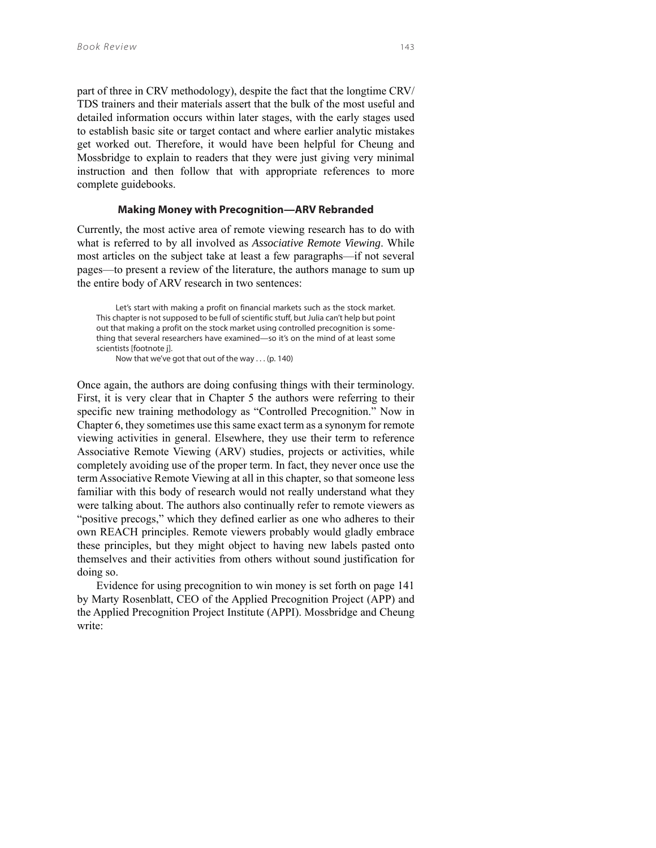part of three in CRV methodology), despite the fact that the longtime CRV/ TDS trainers and their materials assert that the bulk of the most useful and detailed information occurs within later stages, with the early stages used to establish basic site or target contact and where earlier analytic mistakes get worked out. Therefore, it would have been helpful for Cheung and Mossbridge to explain to readers that they were just giving very minimal instruction and then follow that with appropriate references to more complete guidebooks.

### **Making Money with Precognition—ARV Rebranded**

Currently, the most active area of remote viewing research has to do with what is referred to by all involved as *Associative Remote Viewing*. While most articles on the subject take at least a few paragraphs—if not several pages—to present a review of the literature, the authors manage to sum up the entire body of ARV research in two sentences:

Let's start with making a profit on financial markets such as the stock market. This chapter is not supposed to be full of scientific stuff, but Julia can't help but point out that making a profit on the stock market using controlled precognition is something that several researchers have examined—so it's on the mind of at least some scientists [footnote j].

Now that we've got that out of the way . . . (p. 140)

Once again, the authors are doing confusing things with their terminology. First, it is very clear that in Chapter 5 the authors were referring to their specific new training methodology as "Controlled Precognition." Now in Chapter 6, they sometimes use this same exact term as a synonym for remote viewing activities in general. Elsewhere, they use their term to reference Associative Remote Viewing (ARV) studies, projects or activities, while completely avoiding use of the proper term. In fact, they never once use the term Associative Remote Viewing at all in this chapter, so that someone less familiar with this body of research would not really understand what they were talking about. The authors also continually refer to remote viewers as "positive precogs," which they defined earlier as one who adheres to their own REACH principles. Remote viewers probably would gladly embrace these principles, but they might object to having new labels pasted onto themselves and their activities from others without sound justification for doing so.

Evidence for using precognition to win money is set forth on page 141 by Marty Rosenblatt, CEO of the Applied Precognition Project (APP) and the Applied Precognition Project Institute (APPI). Mossbridge and Cheung write: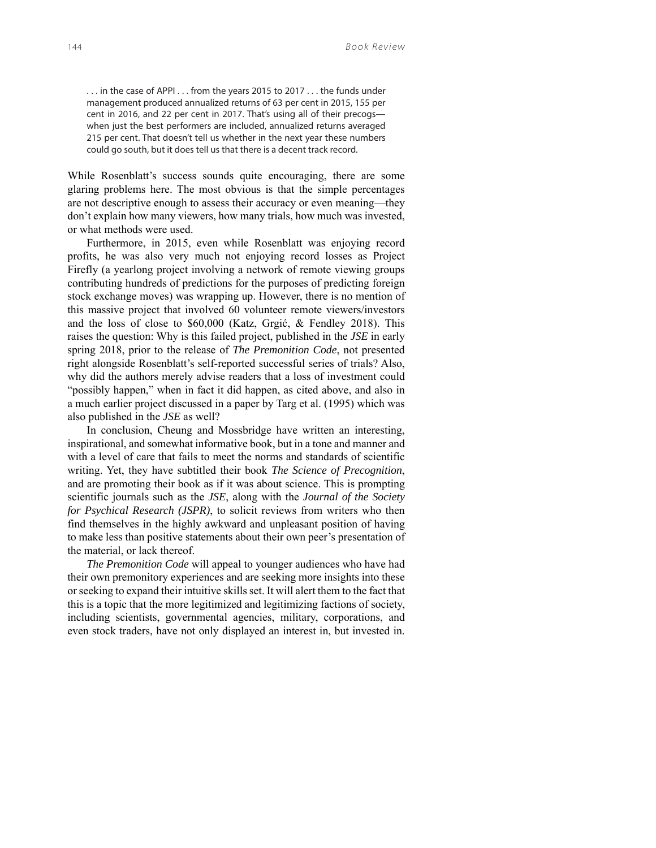. . . in the case of APPI . . . from the years 2015 to 2017 . . . the funds under management produced annualized returns of 63 per cent in 2015, 155 per cent in 2016, and 22 per cent in 2017. That's using all of their precogs when just the best performers are included, annualized returns averaged 215 per cent. That doesn't tell us whether in the next year these numbers could go south, but it does tell us that there is a decent track record.

While Rosenblatt's success sounds quite encouraging, there are some glaring problems here. The most obvious is that the simple percentages are not descriptive enough to assess their accuracy or even meaning—they don't explain how many viewers, how many trials, how much was invested, or what methods were used.

Furthermore, in 2015, even while Rosenblatt was enjoying record profits, he was also very much not enjoying record losses as Project Firefly (a yearlong project involving a network of remote viewing groups contributing hundreds of predictions for the purposes of predicting foreign stock exchange moves) was wrapping up. However, there is no mention of this massive project that involved 60 volunteer remote viewers/investors and the loss of close to \$60,000 (Katz, Grgić, & Fendley 2018). This raises the question: Why is this failed project, published in the *JSE* in early spring 2018, prior to the release of *The Premonition Code*, not presented right alongside Rosenblatt's self-reported successful series of trials? Also, why did the authors merely advise readers that a loss of investment could "possibly happen," when in fact it did happen, as cited above, and also in a much earlier project discussed in a paper by Targ et al. (1995) which was also published in the *JSE* as well?

In conclusion, Cheung and Mossbridge have written an interesting, inspirational, and somewhat informative book, but in a tone and manner and with a level of care that fails to meet the norms and standards of scientific writing. Yet, they have subtitled their book *The Science of Precognition*, and are promoting their book as if it was about science. This is prompting scientific journals such as the *JSE*, along with the *Journal of the Society for Psychical Research (JSPR)*, to solicit reviews from writers who then find themselves in the highly awkward and unpleasant position of having to make less than positive statements about their own peer's presentation of the material, or lack thereof.

*The Premonition Code* will appeal to younger audiences who have had their own premonitory experiences and are seeking more insights into these or seeking to expand their intuitive skills set. It will alert them to the fact that this is a topic that the more legitimized and legitimizing factions of society, including scientists, governmental agencies, military, corporations, and even stock traders, have not only displayed an interest in, but invested in.